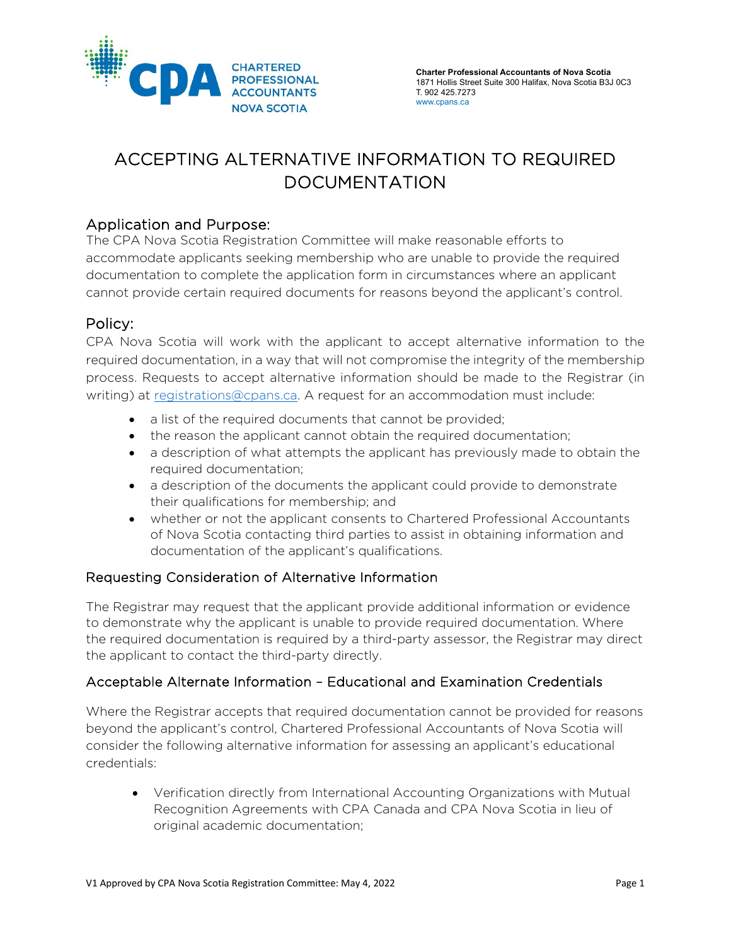

# ACCEPTING ALTERNATIVE INFORMATION TO REQUIRED DOCUMENTATION

## Application and Purpose:

The CPA Nova Scotia Registration Committee will make reasonable efforts to accommodate applicants seeking membership who are unable to provide the required documentation to complete the application form in circumstances where an applicant cannot provide certain required documents for reasons beyond the applicant's control.

## Policy:

CPA Nova Scotia will work with the applicant to accept alternative information to the required documentation, in a way that will not compromise the integrity of the membership process. Requests to accept alternative information should be made to the Registrar (in writing) at [registrations@cpans.ca.](mailto:registrations@cpans.ca) A request for an accommodation must include:

- a list of the required documents that cannot be provided;
- the reason the applicant cannot obtain the required documentation;
- a description of what attempts the applicant has previously made to obtain the required documentation;
- a description of the documents the applicant could provide to demonstrate their qualifications for membership; and
- whether or not the applicant consents to Chartered Professional Accountants of Nova Scotia contacting third parties to assist in obtaining information and documentation of the applicant's qualifications.

#### Requesting Consideration of Alternative Information

The Registrar may request that the applicant provide additional information or evidence to demonstrate why the applicant is unable to provide required documentation. Where the required documentation is required by a third-party assessor, the Registrar may direct the applicant to contact the third-party directly.

#### Acceptable Alternate Information – Educational and Examination Credentials

Where the Registrar accepts that required documentation cannot be provided for reasons beyond the applicant's control, Chartered Professional Accountants of Nova Scotia will consider the following alternative information for assessing an applicant's educational credentials:

• Verification directly from International Accounting Organizations with Mutual Recognition Agreements with CPA Canada and CPA Nova Scotia in lieu of original academic documentation;